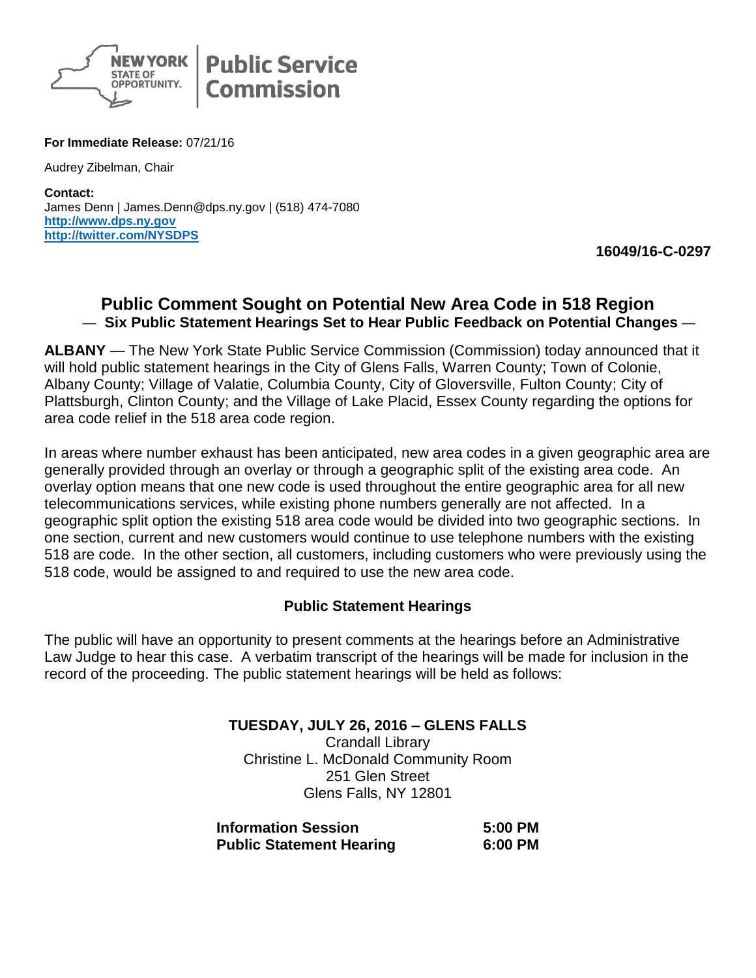

**For Immediate Release:** 07/21/16

Audrey Zibelman, Chair

**Contact:** James Denn | James.Denn@dps.ny.gov | (518) 474-7080 **[http://www.dps.ny.gov](http://www.dps.ny.gov/) <http://twitter.com/NYSDPS>**

**16049/16-C-0297**

## **Public Comment Sought on Potential New Area Code in 518 Region** — **Six Public Statement Hearings Set to Hear Public Feedback on Potential Changes** —

**ALBANY** — The New York State Public Service Commission (Commission) today announced that it will hold public statement hearings in the City of Glens Falls, Warren County; Town of Colonie, Albany County; Village of Valatie, Columbia County, City of Gloversville, Fulton County; City of Plattsburgh, Clinton County; and the Village of Lake Placid, Essex County regarding the options for area code relief in the 518 area code region.

In areas where number exhaust has been anticipated, new area codes in a given geographic area are generally provided through an overlay or through a geographic split of the existing area code. An overlay option means that one new code is used throughout the entire geographic area for all new telecommunications services, while existing phone numbers generally are not affected. In a geographic split option the existing 518 area code would be divided into two geographic sections. In one section, current and new customers would continue to use telephone numbers with the existing 518 are code. In the other section, all customers, including customers who were previously using the 518 code, would be assigned to and required to use the new area code.

## **Public Statement Hearings**

The public will have an opportunity to present comments at the hearings before an Administrative Law Judge to hear this case. A verbatim transcript of the hearings will be made for inclusion in the record of the proceeding. The public statement hearings will be held as follows:

> **TUESDAY, JULY 26, 2016 – GLENS FALLS** Crandall Library Christine L. McDonald Community Room 251 Glen Street Glens Falls, NY 12801

| <b>Information Session</b>      | 5:00 PM |
|---------------------------------|---------|
| <b>Public Statement Hearing</b> | 6:00 PM |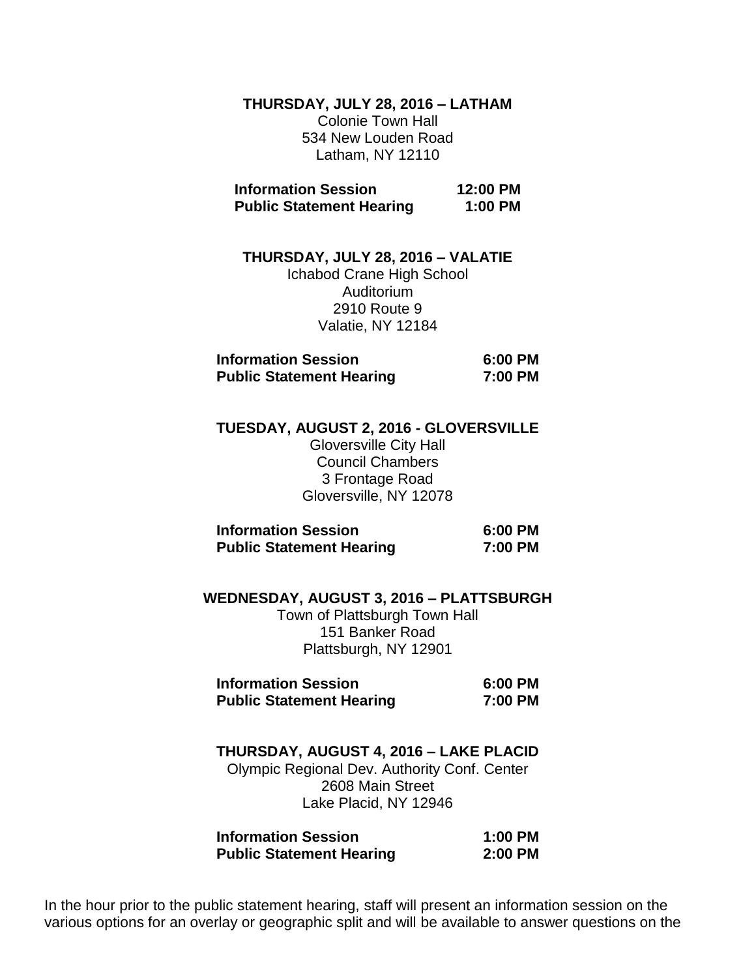**THURSDAY, JULY 28, 2016 – LATHAM** Colonie Town Hall 534 New Louden Road Latham, NY 12110

**Information Session 12:00 PM Public Statement Hearing 1:00 PM** 

**THURSDAY, JULY 28, 2016 – VALATIE** Ichabod Crane High School Auditorium 2910 Route 9 Valatie, NY 12184

| <b>Information Session</b>      | 6:00 PM |
|---------------------------------|---------|
| <b>Public Statement Hearing</b> | 7:00 PM |

**TUESDAY, AUGUST 2, 2016 - GLOVERSVILLE**

Gloversville City Hall Council Chambers 3 Frontage Road Gloversville, NY 12078

| <b>Information Session</b>      | 6:00 PM |  |
|---------------------------------|---------|--|
| <b>Public Statement Hearing</b> | 7:00 PM |  |

**WEDNESDAY, AUGUST 3, 2016 – PLATTSBURGH** Town of Plattsburgh Town Hall 151 Banker Road Plattsburgh, NY 12901

| <b>Information Session</b>      | 6:00 PM |
|---------------------------------|---------|
| <b>Public Statement Hearing</b> | 7:00 PM |

**THURSDAY, AUGUST 4, 2016 – LAKE PLACID** Olympic Regional Dev. Authority Conf. Center

2608 Main Street Lake Placid, NY 12946

| <b>Information Session</b>      | $1:00$ PM |
|---------------------------------|-----------|
| <b>Public Statement Hearing</b> | $2:00$ PM |

In the hour prior to the public statement hearing, staff will present an information session on the various options for an overlay or geographic split and will be available to answer questions on the